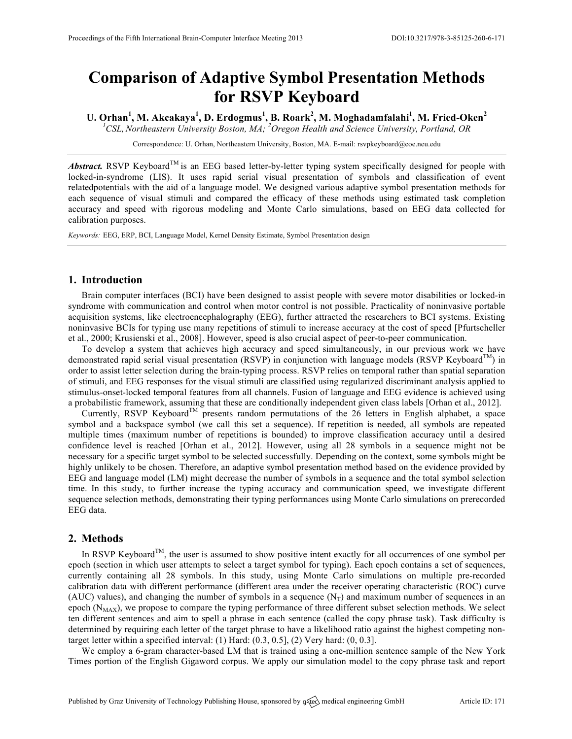# **Comparison of Adaptive Symbol Presentation Methods for RSVP Keyboard**

**U. Orhan<sup>1</sup> , M. Akcakaya<sup>1</sup> , D. Erdogmus<sup>1</sup> , B. Roark<sup>2</sup> , M. Moghadamfalahi<sup>1</sup> , M. Fried-Oken<sup>2</sup>**

*1 CSL, Northeastern University Boston, MA; <sup>2</sup> Oregon Health and Science University, Portland, OR*

Correspondence: U. Orhan, Northeastern University, Boston, MA. E-mail: rsvpkeyboard@coe.neu.edu

*Abstract.* RSVP Keyboard<sup>TM</sup> is an EEG based letter-by-letter typing system specifically designed for people with locked-in-syndrome (LIS). It uses rapid serial visual presentation of symbols and classification of event relatedpotentials with the aid of a language model. We designed various adaptive symbol presentation methods for each sequence of visual stimuli and compared the efficacy of these methods using estimated task completion accuracy and speed with rigorous modeling and Monte Carlo simulations, based on EEG data collected for calibration purposes.

*Keywords:* EEG, ERP, BCI, Language Model, Kernel Density Estimate, Symbol Presentation design

#### **1. Introduction**

Brain computer interfaces (BCI) have been designed to assist people with severe motor disabilities or locked-in syndrome with communication and control when motor control is not possible. Practicality of noninvasive portable acquisition systems, like electroencephalography (EEG), further attracted the researchers to BCI systems. Existing noninvasive BCIs for typing use many repetitions of stimuli to increase accuracy at the cost of speed [Pfurtscheller et al., 2000; Krusienski et al., 2008]. However, speed is also crucial aspect of peer-to-peer communication.

To develop a system that achieves high accuracy and speed simultaneously, in our previous work we have demonstrated rapid serial visual presentation (RSVP) in conjunction with language models (RSVP Keyboard<sup>TM</sup>) in order to assist letter selection during the brain-typing process. RSVP relies on temporal rather than spatial separation of stimuli, and EEG responses for the visual stimuli are classified using regularized discriminant analysis applied to stimulus-onset-locked temporal features from all channels. Fusion of language and EEG evidence is achieved using a probabilistic framework, assuming that these are conditionally independent given class labels [Orhan et al., 2012].

Currently, RSVP Keyboard<sup>TM</sup> presents random permutations of the 26 letters in English alphabet, a space symbol and a backspace symbol (we call this set a sequence). If repetition is needed, all symbols are repeated multiple times (maximum number of repetitions is bounded) to improve classification accuracy until a desired confidence level is reached [Orhan et al., 2012]. However, using all 28 symbols in a sequence might not be necessary for a specific target symbol to be selected successfully. Depending on the context, some symbols might be highly unlikely to be chosen. Therefore, an adaptive symbol presentation method based on the evidence provided by EEG and language model (LM) might decrease the number of symbols in a sequence and the total symbol selection time. In this study, to further increase the typing accuracy and communication speed, we investigate different sequence selection methods, demonstrating their typing performances using Monte Carlo simulations on prerecorded EEG data.

### **2. Methods**

In RSVP Keyboard<sup>TM</sup>, the user is assumed to show positive intent exactly for all occurrences of one symbol per epoch (section in which user attempts to select a target symbol for typing). Each epoch contains a set of sequences, currently containing all 28 symbols. In this study, using Monte Carlo simulations on multiple pre-recorded calibration data with different performance (different area under the receiver operating characteristic (ROC) curve (AUC) values), and changing the number of symbols in a sequence  $(N_T)$  and maximum number of sequences in an epoch  $(N_{MAX})$ , we propose to compare the typing performance of three different subset selection methods. We select ten different sentences and aim to spell a phrase in each sentence (called the copy phrase task). Task difficulty is determined by requiring each letter of the target phrase to have a likelihood ratio against the highest competing nontarget letter within a specified interval:  $(1)$  Hard:  $(0.3, 0.5]$ ,  $(2)$  Very hard:  $(0, 0.3]$ .

We employ a 6-gram character-based LM that is trained using a one-million sentence sample of the New York Times portion of the English Gigaword corpus. We apply our simulation model to the copy phrase task and report